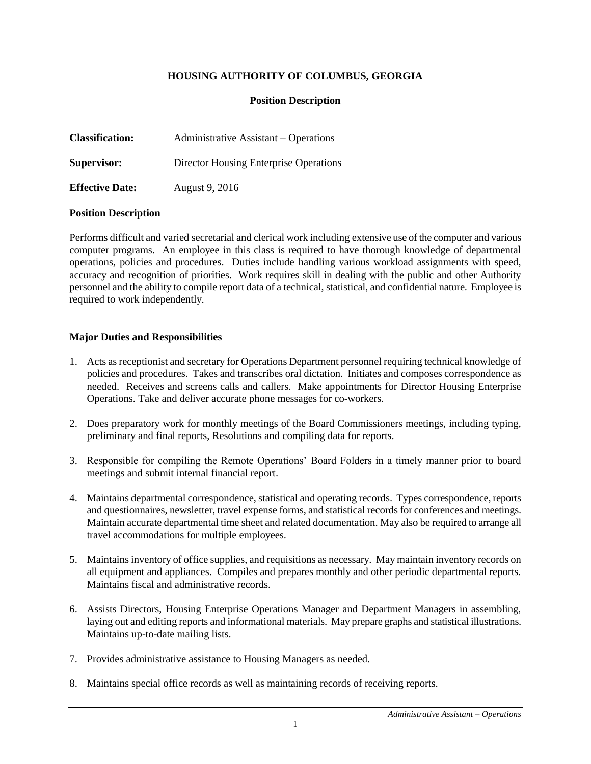# **HOUSING AUTHORITY OF COLUMBUS, GEORGIA**

### **Position Description**

| <b>Classification:</b> | Administrative Assistant – Operations  |
|------------------------|----------------------------------------|
| Supervisor:            | Director Housing Enterprise Operations |
| <b>Effective Date:</b> | August 9, 2016                         |

#### **Position Description**

Performs difficult and varied secretarial and clerical work including extensive use of the computer and various computer programs. An employee in this class is required to have thorough knowledge of departmental operations, policies and procedures. Duties include handling various workload assignments with speed, accuracy and recognition of priorities. Work requires skill in dealing with the public and other Authority personnel and the ability to compile report data of a technical, statistical, and confidential nature. Employee is required to work independently.

#### **Major Duties and Responsibilities**

- 1. Acts as receptionist and secretary for Operations Department personnel requiring technical knowledge of policies and procedures. Takes and transcribes oral dictation. Initiates and composes correspondence as needed. Receives and screens calls and callers. Make appointments for Director Housing Enterprise Operations. Take and deliver accurate phone messages for co-workers.
- 2. Does preparatory work for monthly meetings of the Board Commissioners meetings, including typing, preliminary and final reports, Resolutions and compiling data for reports.
- 3. Responsible for compiling the Remote Operations' Board Folders in a timely manner prior to board meetings and submit internal financial report.
- 4. Maintains departmental correspondence, statistical and operating records. Types correspondence, reports and questionnaires, newsletter, travel expense forms, and statistical records for conferences and meetings. Maintain accurate departmental time sheet and related documentation. May also be required to arrange all travel accommodations for multiple employees.
- 5. Maintains inventory of office supplies, and requisitions as necessary. May maintain inventory records on all equipment and appliances. Compiles and prepares monthly and other periodic departmental reports. Maintains fiscal and administrative records.
- 6. Assists Directors, Housing Enterprise Operations Manager and Department Managers in assembling, laying out and editing reports and informational materials. May prepare graphs and statistical illustrations. Maintains up-to-date mailing lists.
- 7. Provides administrative assistance to Housing Managers as needed.
- 8. Maintains special office records as well as maintaining records of receiving reports.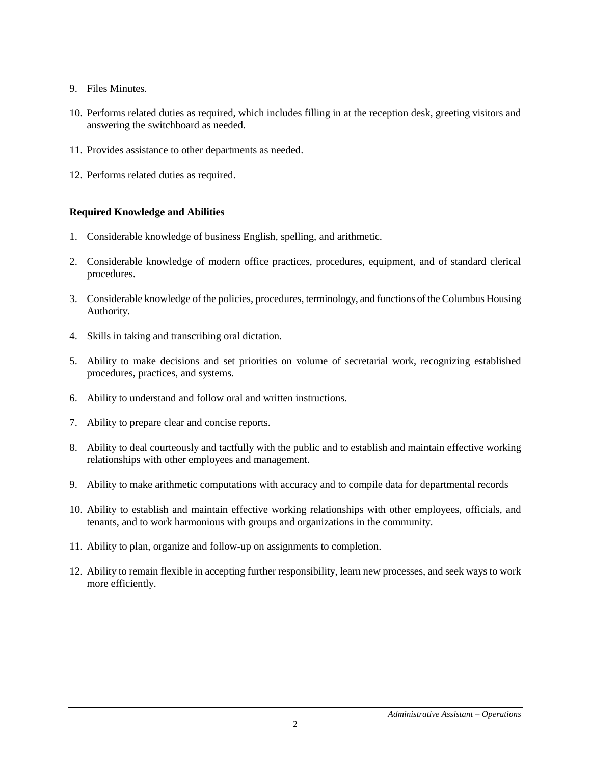- 9. Files Minutes.
- 10. Performs related duties as required, which includes filling in at the reception desk, greeting visitors and answering the switchboard as needed.
- 11. Provides assistance to other departments as needed.
- 12. Performs related duties as required.

# **Required Knowledge and Abilities**

- 1. Considerable knowledge of business English, spelling, and arithmetic.
- 2. Considerable knowledge of modern office practices, procedures, equipment, and of standard clerical procedures.
- 3. Considerable knowledge of the policies, procedures, terminology, and functions of the Columbus Housing Authority.
- 4. Skills in taking and transcribing oral dictation.
- 5. Ability to make decisions and set priorities on volume of secretarial work, recognizing established procedures, practices, and systems.
- 6. Ability to understand and follow oral and written instructions.
- 7. Ability to prepare clear and concise reports.
- 8. Ability to deal courteously and tactfully with the public and to establish and maintain effective working relationships with other employees and management.
- 9. Ability to make arithmetic computations with accuracy and to compile data for departmental records
- 10. Ability to establish and maintain effective working relationships with other employees, officials, and tenants, and to work harmonious with groups and organizations in the community.
- 11. Ability to plan, organize and follow-up on assignments to completion.
- 12. Ability to remain flexible in accepting further responsibility, learn new processes, and seek ways to work more efficiently.